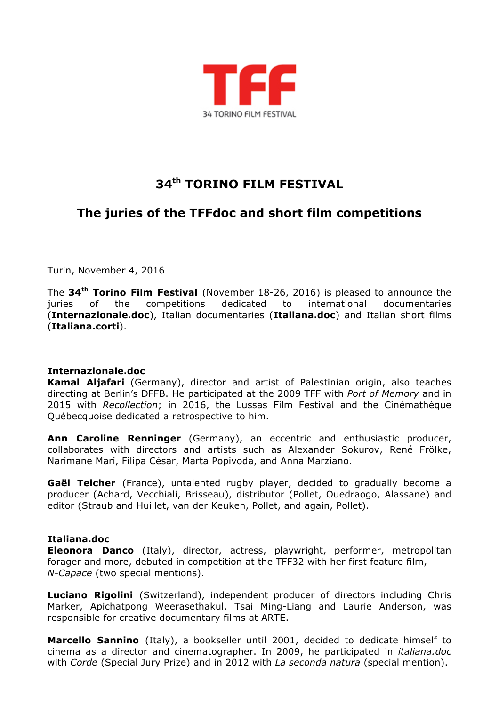

# **34th TORINO FILM FESTIVAL**

# **The juries of the TFFdoc and short film competitions**

Turin, November 4, 2016

The **34th Torino Film Festival** (November 18-26, 2016) is pleased to announce the juries of the competitions dedicated to international documentaries (**Internazionale.doc**), Italian documentaries (**Italiana.doc**) and Italian short films (**Italiana.corti**).

#### **Internazionale.doc**

**Kamal Aljafari** (Germany), director and artist of Palestinian origin, also teaches directing at Berlin's DFFB. He participated at the 2009 TFF with *Port of Memory* and in 2015 with *Recollection*; in 2016, the Lussas Film Festival and the Cinémathèque Québecquoise dedicated a retrospective to him.

**Ann Caroline Renninger** (Germany), an eccentric and enthusiastic producer, collaborates with directors and artists such as Alexander Sokurov, René Frölke, Narimane Mari, Filipa César, Marta Popivoda, and Anna Marziano.

**Gaël Teicher** (France), untalented rugby player, decided to gradually become a producer (Achard, Vecchiali, Brisseau), distributor (Pollet, Ouedraogo, Alassane) and editor (Straub and Huillet, van der Keuken, Pollet, and again, Pollet).

#### **Italiana.doc**

**Eleonora Danco** (Italy), director, actress, playwright, performer, metropolitan forager and more, debuted in competition at the TFF32 with her first feature film, *N-Capace* (two special mentions).

**Luciano Rigolini** (Switzerland), independent producer of directors including Chris Marker, Apichatpong Weerasethakul, Tsai Ming-Liang and Laurie Anderson, was responsible for creative documentary films at ARTE.

**Marcello Sannino** (Italy), a bookseller until 2001, decided to dedicate himself to cinema as a director and cinematographer. In 2009, he participated in *italiana.doc* with *Corde* (Special Jury Prize) and in 2012 with *La seconda natura* (special mention).